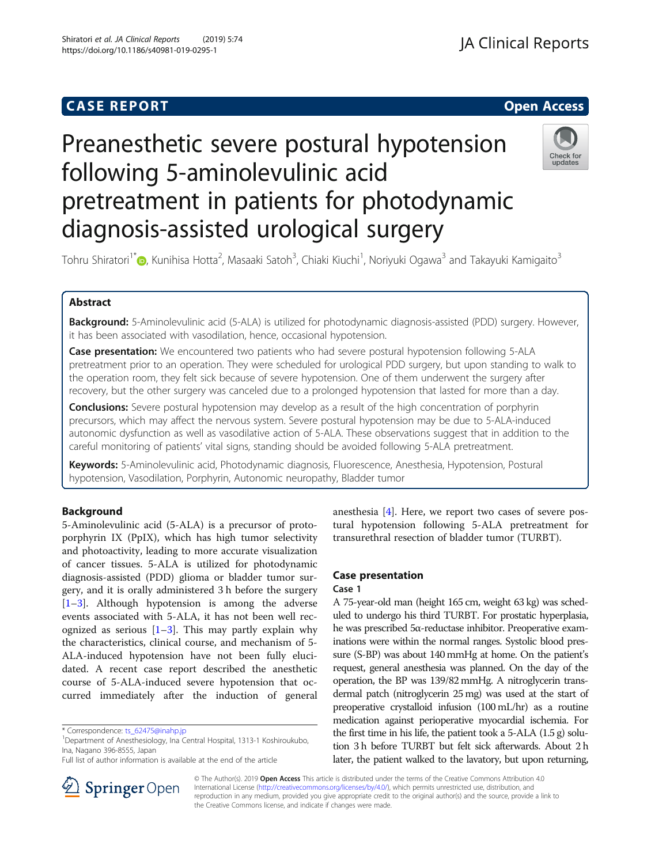## **CASE REPORT And SERVICE SERVICE SERVICE SERVICE SERVICE SERVICE SERVICE SERVICE SERVICE SERVICE SERVICE SERVICE**

# Preanesthetic severe postural hypotension following 5-aminolevulinic acid pretreatment in patients for photodynamic diagnosis-assisted urological surgery



Tohru Shiratori<sup>1[\\*](http://orcid.org/0000-0001-8218-5739)</sup>�, Kunihisa Hotta<sup>2</sup>, Masaaki Satoh<sup>3</sup>, Chiaki Kiuchi<sup>1</sup>, Noriyuki Ogawa<sup>3</sup> and Takayuki Kamigaito<sup>3</sup>

## Abstract

Background: 5-Aminolevulinic acid (5-ALA) is utilized for photodynamic diagnosis-assisted (PDD) surgery. However, it has been associated with vasodilation, hence, occasional hypotension.

Case presentation: We encountered two patients who had severe postural hypotension following 5-ALA pretreatment prior to an operation. They were scheduled for urological PDD surgery, but upon standing to walk to the operation room, they felt sick because of severe hypotension. One of them underwent the surgery after recovery, but the other surgery was canceled due to a prolonged hypotension that lasted for more than a day.

**Conclusions:** Severe postural hypotension may develop as a result of the high concentration of porphyrin precursors, which may affect the nervous system. Severe postural hypotension may be due to 5-ALA-induced autonomic dysfunction as well as vasodilative action of 5-ALA. These observations suggest that in addition to the careful monitoring of patients' vital signs, standing should be avoided following 5-ALA pretreatment.

Keywords: 5-Aminolevulinic acid, Photodynamic diagnosis, Fluorescence, Anesthesia, Hypotension, Postural hypotension, Vasodilation, Porphyrin, Autonomic neuropathy, Bladder tumor

## Background

5-Aminolevulinic acid (5-ALA) is a precursor of protoporphyrin IX (PpIX), which has high tumor selectivity and photoactivity, leading to more accurate visualization of cancer tissues. 5-ALA is utilized for photodynamic diagnosis-assisted (PDD) glioma or bladder tumor surgery, and it is orally administered 3 h before the surgery [[1](#page-2-0)–[3\]](#page-2-0). Although hypotension is among the adverse events associated with 5-ALA, it has not been well recognized as serious  $[1-3]$  $[1-3]$  $[1-3]$ . This may partly explain why the characteristics, clinical course, and mechanism of 5- ALA-induced hypotension have not been fully elucidated. A recent case report described the anesthetic course of 5-ALA-induced severe hypotension that occurred immediately after the induction of general



## Case presentation

## Case 1

A 75-year-old man (height 165 cm, weight 63 kg) was scheduled to undergo his third TURBT. For prostatic hyperplasia, he was prescribed 5α-reductase inhibitor. Preoperative examinations were within the normal ranges. Systolic blood pressure (S-BP) was about 140 mmHg at home. On the patient's request, general anesthesia was planned. On the day of the operation, the BP was 139/82 mmHg. A nitroglycerin transdermal patch (nitroglycerin 25 mg) was used at the start of preoperative crystalloid infusion (100 mL/hr) as a routine medication against perioperative myocardial ischemia. For the first time in his life, the patient took a 5-ALA (1.5 g) solution 3 h before TURBT but felt sick afterwards. About 2 h later, the patient walked to the lavatory, but upon returning,



© The Author(s). 2019 Open Access This article is distributed under the terms of the Creative Commons Attribution 4.0 International License ([http://creativecommons.org/licenses/by/4.0/\)](http://creativecommons.org/licenses/by/4.0/), which permits unrestricted use, distribution, and reproduction in any medium, provided you give appropriate credit to the original author(s) and the source, provide a link to the Creative Commons license, and indicate if changes were made.

<sup>\*</sup> Correspondence: [ts\\_62475@inahp.jp](mailto:ts_62475@inahp.jp) <sup>1</sup>

Department of Anesthesiology, Ina Central Hospital, 1313-1 Koshiroukubo, Ina, Nagano 396-8555, Japan

Full list of author information is available at the end of the article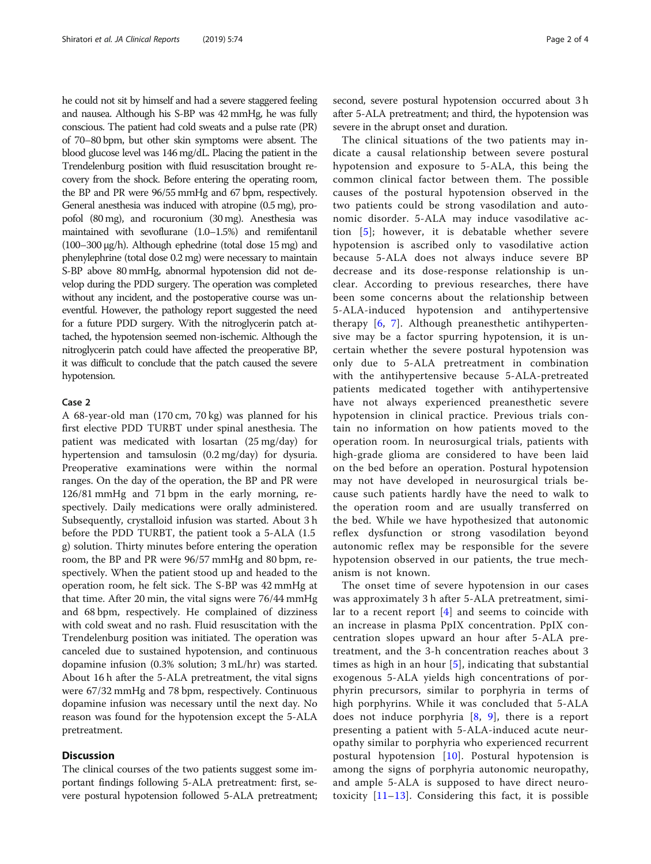he could not sit by himself and had a severe staggered feeling and nausea. Although his S-BP was 42 mmHg, he was fully conscious. The patient had cold sweats and a pulse rate (PR) of 70–80 bpm, but other skin symptoms were absent. The blood glucose level was 146 mg/dL. Placing the patient in the Trendelenburg position with fluid resuscitation brought recovery from the shock. Before entering the operating room, the BP and PR were 96/55 mmHg and 67 bpm, respectively. General anesthesia was induced with atropine (0.5 mg), propofol (80 mg), and rocuronium (30 mg). Anesthesia was maintained with sevoflurane (1.0–1.5%) and remifentanil (100–300 μg/h). Although ephedrine (total dose 15 mg) and phenylephrine (total dose 0.2 mg) were necessary to maintain S-BP above 80 mmHg, abnormal hypotension did not develop during the PDD surgery. The operation was completed without any incident, and the postoperative course was uneventful. However, the pathology report suggested the need for a future PDD surgery. With the nitroglycerin patch attached, the hypotension seemed non-ischemic. Although the nitroglycerin patch could have affected the preoperative BP, it was difficult to conclude that the patch caused the severe hypotension.

#### Case 2

A 68-year-old man (170 cm, 70 kg) was planned for his first elective PDD TURBT under spinal anesthesia. The patient was medicated with losartan (25 mg/day) for hypertension and tamsulosin (0.2 mg/day) for dysuria. Preoperative examinations were within the normal ranges. On the day of the operation, the BP and PR were 126/81 mmHg and 71 bpm in the early morning, respectively. Daily medications were orally administered. Subsequently, crystalloid infusion was started. About 3 h before the PDD TURBT, the patient took a 5-ALA (1.5 g) solution. Thirty minutes before entering the operation room, the BP and PR were 96/57 mmHg and 80 bpm, respectively. When the patient stood up and headed to the operation room, he felt sick. The S-BP was 42 mmHg at that time. After 20 min, the vital signs were 76/44 mmHg and 68 bpm, respectively. He complained of dizziness with cold sweat and no rash. Fluid resuscitation with the Trendelenburg position was initiated. The operation was canceled due to sustained hypotension, and continuous dopamine infusion (0.3% solution; 3 mL/hr) was started. About 16 h after the 5-ALA pretreatment, the vital signs were 67/32 mmHg and 78 bpm, respectively. Continuous dopamine infusion was necessary until the next day. No reason was found for the hypotension except the 5-ALA pretreatment.

## **Discussion**

The clinical courses of the two patients suggest some important findings following 5-ALA pretreatment: first, severe postural hypotension followed 5-ALA pretreatment; second, severe postural hypotension occurred about 3 h after 5-ALA pretreatment; and third, the hypotension was severe in the abrupt onset and duration.

The clinical situations of the two patients may indicate a causal relationship between severe postural hypotension and exposure to 5-ALA, this being the common clinical factor between them. The possible causes of the postural hypotension observed in the two patients could be strong vasodilation and autonomic disorder. 5-ALA may induce vasodilative action [\[5](#page-2-0)]; however, it is debatable whether severe hypotension is ascribed only to vasodilative action because 5-ALA does not always induce severe BP decrease and its dose-response relationship is unclear. According to previous researches, there have been some concerns about the relationship between 5-ALA-induced hypotension and antihypertensive therapy [\[6](#page-2-0), [7](#page-2-0)]. Although preanesthetic antihypertensive may be a factor spurring hypotension, it is uncertain whether the severe postural hypotension was only due to 5-ALA pretreatment in combination with the antihypertensive because 5-ALA-pretreated patients medicated together with antihypertensive have not always experienced preanesthetic severe hypotension in clinical practice. Previous trials contain no information on how patients moved to the operation room. In neurosurgical trials, patients with high-grade glioma are considered to have been laid on the bed before an operation. Postural hypotension may not have developed in neurosurgical trials because such patients hardly have the need to walk to the operation room and are usually transferred on the bed. While we have hypothesized that autonomic reflex dysfunction or strong vasodilation beyond autonomic reflex may be responsible for the severe hypotension observed in our patients, the true mechanism is not known.

The onset time of severe hypotension in our cases was approximately 3 h after 5-ALA pretreatment, similar to a recent report  $[4]$  $[4]$  $[4]$  and seems to coincide with an increase in plasma PpIX concentration. PpIX concentration slopes upward an hour after 5-ALA pretreatment, and the 3-h concentration reaches about 3 times as high in an hour  $[5]$ , indicating that substantial exogenous 5-ALA yields high concentrations of porphyrin precursors, similar to porphyria in terms of high porphyrins. While it was concluded that 5-ALA does not induce porphyria [\[8](#page-3-0), [9](#page-3-0)], there is a report presenting a patient with 5-ALA-induced acute neuropathy similar to porphyria who experienced recurrent postural hypotension [[10\]](#page-3-0). Postural hypotension is among the signs of porphyria autonomic neuropathy, and ample 5-ALA is supposed to have direct neurotoxicity  $[11-13]$  $[11-13]$  $[11-13]$  $[11-13]$  $[11-13]$ . Considering this fact, it is possible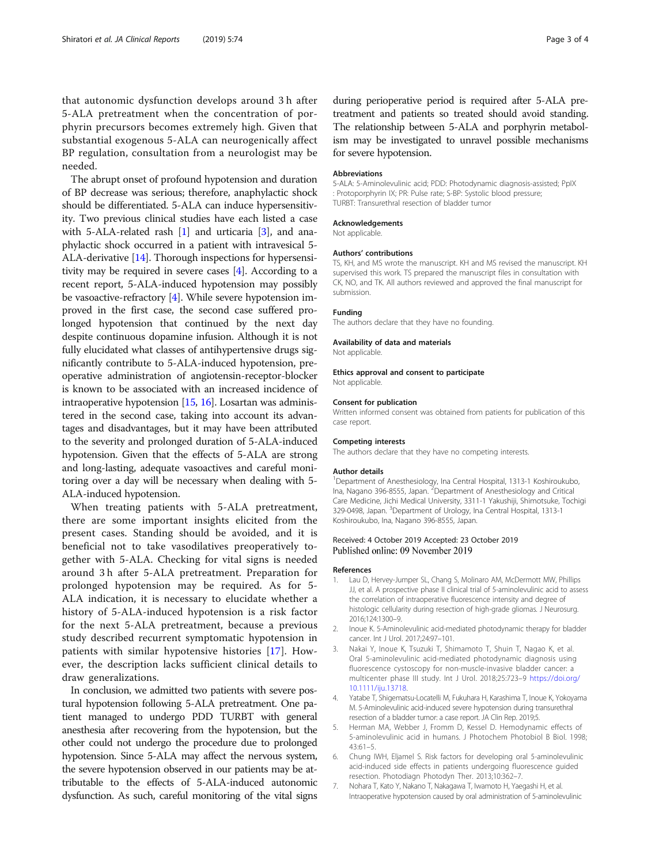<span id="page-2-0"></span>that autonomic dysfunction develops around 3 h after 5-ALA pretreatment when the concentration of porphyrin precursors becomes extremely high. Given that substantial exogenous 5-ALA can neurogenically affect BP regulation, consultation from a neurologist may be needed.

The abrupt onset of profound hypotension and duration of BP decrease was serious; therefore, anaphylactic shock should be differentiated. 5-ALA can induce hypersensitivity. Two previous clinical studies have each listed a case with 5-ALA-related rash  $[1]$  and urticaria  $[3]$ , and anaphylactic shock occurred in a patient with intravesical 5- ALA-derivative [\[14](#page-3-0)]. Thorough inspections for hypersensitivity may be required in severe cases [4]. According to a recent report, 5-ALA-induced hypotension may possibly be vasoactive-refractory [4]. While severe hypotension improved in the first case, the second case suffered prolonged hypotension that continued by the next day despite continuous dopamine infusion. Although it is not fully elucidated what classes of antihypertensive drugs significantly contribute to 5-ALA-induced hypotension, preoperative administration of angiotensin-receptor-blocker is known to be associated with an increased incidence of intraoperative hypotension [\[15,](#page-3-0) [16](#page-3-0)]. Losartan was administered in the second case, taking into account its advantages and disadvantages, but it may have been attributed to the severity and prolonged duration of 5-ALA-induced hypotension. Given that the effects of 5-ALA are strong and long-lasting, adequate vasoactives and careful monitoring over a day will be necessary when dealing with 5- ALA-induced hypotension.

When treating patients with 5-ALA pretreatment, there are some important insights elicited from the present cases. Standing should be avoided, and it is beneficial not to take vasodilatives preoperatively together with 5-ALA. Checking for vital signs is needed around 3 h after 5-ALA pretreatment. Preparation for prolonged hypotension may be required. As for 5- ALA indication, it is necessary to elucidate whether a history of 5-ALA-induced hypotension is a risk factor for the next 5-ALA pretreatment, because a previous study described recurrent symptomatic hypotension in patients with similar hypotensive histories [[17](#page-3-0)]. However, the description lacks sufficient clinical details to draw generalizations.

In conclusion, we admitted two patients with severe postural hypotension following 5-ALA pretreatment. One patient managed to undergo PDD TURBT with general anesthesia after recovering from the hypotension, but the other could not undergo the procedure due to prolonged hypotension. Since 5-ALA may affect the nervous system, the severe hypotension observed in our patients may be attributable to the effects of 5-ALA-induced autonomic dysfunction. As such, careful monitoring of the vital signs during perioperative period is required after 5-ALA pretreatment and patients so treated should avoid standing. The relationship between 5-ALA and porphyrin metabolism may be investigated to unravel possible mechanisms for severe hypotension.

#### Abbreviations

5-ALA: 5-Aminolevulinic acid; PDD: Photodynamic diagnosis-assisted; PpIX : Protoporphyrin IX; PR: Pulse rate; S-BP: Systolic blood pressure; TURBT: Transurethral resection of bladder tumor

### Acknowledgements

Not applicable.

#### Authors' contributions

TS, KH, and MS wrote the manuscript. KH and MS revised the manuscript. KH supervised this work. TS prepared the manuscript files in consultation with CK, NO, and TK. All authors reviewed and approved the final manuscript for submission.

#### Funding

The authors declare that they have no founding.

## Availability of data and materials

Not applicable.

## Ethics approval and consent to participate

Not applicable.

#### Consent for publication

Written informed consent was obtained from patients for publication of this case report.

#### Competing interests

The authors declare that they have no competing interests.

#### Author details

<sup>1</sup>Department of Anesthesiology, Ina Central Hospital, 1313-1 Koshiroukubo, Ina, Nagano 396-8555, Japan. <sup>2</sup>Department of Anesthesiology and Critical Care Medicine, Jichi Medical University, 3311-1 Yakushiji, Shimotsuke, Tochigi 329-0498, Japan. <sup>3</sup> Department of Urology, Ina Central Hospital, 1313-1 Koshiroukubo, Ina, Nagano 396-8555, Japan.

#### Received: 4 October 2019 Accepted: 23 October 2019 Published online: 09 November 2019

#### References

- 1. Lau D, Hervey-Jumper SL, Chang S, Molinaro AM, McDermott MW, Phillips JJ, et al. A prospective phase II clinical trial of 5-aminolevulinic acid to assess the correlation of intraoperative fluorescence intensity and degree of histologic cellularity during resection of high-grade gliomas. J Neurosurg. 2016;124:1300–9.
- 2. Inoue K. 5-Aminolevulinic acid-mediated photodynamic therapy for bladder cancer. Int J Urol. 2017;24:97–101.
- 3. Nakai Y, Inoue K, Tsuzuki T, Shimamoto T, Shuin T, Nagao K, et al. Oral 5-aminolevulinic acid-mediated photodynamic diagnosis using fluorescence cystoscopy for non-muscle-invasive bladder cancer: a multicenter phase III study. Int J Urol. 2018;25:723–9 [https://doi.org/](https://doi.org/10.1111/iju.13718) [10.1111/iju.13718](https://doi.org/10.1111/iju.13718).
- 4. Yatabe T, Shigematsu-Locatelli M, Fukuhara H, Karashima T, Inoue K, Yokoyama M. 5-Aminolevulinic acid-induced severe hypotension during transurethral resection of a bladder tumor: a case report. JA Clin Rep. 2019;5.
- 5. Herman MA, Webber J, Fromm D, Kessel D. Hemodynamic effects of 5-aminolevulinic acid in humans. J Photochem Photobiol B Biol. 1998; 43:61–5.
- 6. Chung IWH, Eljamel S. Risk factors for developing oral 5-aminolevulinic acid-induced side effects in patients undergoing fluorescence guided resection. Photodiagn Photodyn Ther. 2013;10:362–7.
- 7. Nohara T, Kato Y, Nakano T, Nakagawa T, Iwamoto H, Yaegashi H, et al. Intraoperative hypotension caused by oral administration of 5-aminolevulinic